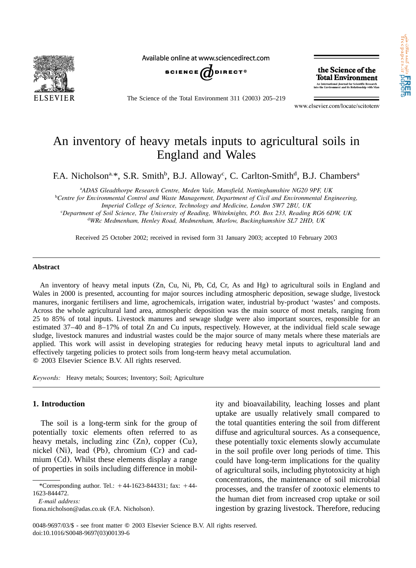

Available online at www.sciencedirect.com



the Science of the **Total Environment** An International Journal for Scientific Research<br>into the Environment and its Relationship with Mar

The Science of the Total Environment 311 (2003) 205–219

www.elsevier.com/locate/scitotenv

# An inventory of heavy metals inputs to agricultural soils in England and Wales

F.A. Nicholson<sup>a, \*</sup>, S.R. Smith<sup>b</sup>, B.J. Alloway<sup>c</sup>, C. Carlton-Smith<sup>d</sup>, B.J. Chambers<sup>a</sup>

*ADAS Gleadthorpe Research Centre, Meden Vale, Mansfield, Nottinghamshire NG20 9PF, UK* <sup>a</sup> *Centre for Environmental Control and Waste Management, Department of Civil and Environmental Engineering,* <sup>b</sup> *Imperial College of Science, Technology and Medicine, London SW7 2BU, UK Department of Soil Science, The University of Reading, Whiteknights, P.O. Box 233, Reading RG6 6DW, UK* <sup>c</sup>

<sup>d</sup>WRc Medmenham, Henley Road, Medmenham, Marlow, Buckinghamshire SL7 2HD, UK

Received 25 October 2002; received in revised form 31 January 2003; accepted 10 February 2003

#### **Abstract**

An inventory of heavy metal inputs (Zn, Cu, Ni, Pb, Cd, Cr, As and Hg) to agricultural soils in England and Wales in 2000 is presented, accounting for major sources including atmospheric deposition, sewage sludge, livestock manures, inorganic fertilisers and lime, agrochemicals, irrigation water, industrial by-product 'wastes' and composts. Across the whole agricultural land area, atmospheric deposition was the main source of most metals, ranging from 25 to 85% of total inputs. Livestock manures and sewage sludge were also important sources, responsible for an estimated 37–40 and 8–17% of total Zn and Cu inputs, respectively. However, at the individual field scale sewage sludge, livestock manures and industrial wastes could be the major source of many metals where these materials are applied. This work will assist in developing strategies for reducing heavy metal inputs to agricultural land and effectively targeting policies to protect soils from long-term heavy metal accumulation. 2003 Elsevier Science B.V. All rights reserved.

*Keywords:* Heavy metals; Sources; Inventory; Soil; Agriculture

# **1. Introduction**

The soil is a long-term sink for the group of potentially toxic elements often referred to as heavy metals, including zinc (Zn), copper (Cu), nickel (Ni), lead (Pb), chromium (Cr) and cadmium (Cd). Whilst these elements display a range of properties in soils including difference in mobil-

*E-mail address:*

ity and bioavailability, leaching losses and plant uptake are usually relatively small compared to the total quantities entering the soil from different diffuse and agricultural sources. As a consequence, these potentially toxic elements slowly accumulate in the soil profile over long periods of time. This could have long-term implications for the quality of agricultural soils, including phytotoxicity at high concentrations, the maintenance of soil microbial processes, and the transfer of zootoxic elements to the human diet from increased crop uptake or soil ingestion by grazing livestock. Therefore, reducing

<sup>\*</sup>Corresponding author. Tel.:  $+44-1623-844331$ ; fax:  $+44-$ 1623-844472.

fiona.nicholson@adas.co.uk (F.A. Nicholson).

<sup>0048-9697/03/\$ -</sup> see front matter © 2003 Elsevier Science B.V. All rights reserved. doi:10.1016/S0048-9697(03)00139-6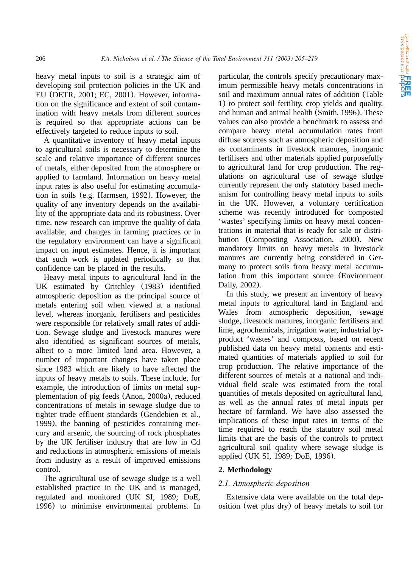heavy metal inputs to soil is a strategic aim of developing soil protection policies in the UK and EU ([DETR, 2001; EC, 2001](#page-13-0)). However, information on the significance and extent of soil contamination with heavy metals from different sources is required so that appropriate actions can be effectively targeted to reduce inputs to soil.

A quantitative inventory of heavy metal inputs to agricultural soils is necessary to determine the scale and relative importance of different sources of metals, either deposited from the atmosphere or applied to farmland. Information on heavy metal input rates is also useful for estimating accumulation in soils (e.g. [Harmsen, 1992](#page-13-0)). However, the quality of any inventory depends on the availability of the appropriate data and its robustness. Over time, new research can improve the quality of data available, and changes in farming practices or in the regulatory environment can have a significant impact on input estimates. Hence, it is important that such work is updated periodically so that confidence can be placed in the results.

Heavy metal inputs to agricultural land in the UK estimated by [Critchley](#page-13-0) (1983) identified atmospheric deposition as the principal source of metals entering soil when viewed at a national level, whereas inorganic fertilisers and pesticides were responsible for relatively small rates of addition. Sewage sludge and livestock manures were also identified as significant sources of metals, albeit to a more limited land area. However, a number of important changes have taken place since 1983 which are likely to have affected the inputs of heavy metals to soils. These include, for example, the introduction of limits on metal supplementation of pig feeds ([Anon, 2000a](#page-13-0)), reduced concentrations of metals in sewage sludge due to tighter trade effluent standards ([Gendebien et al.,](#page-13-0) [1999](#page-13-0)), the banning of pesticides containing mercury and arsenic, the sourcing of rock phosphates by the UK fertiliser industry that are low in Cd and reductions in atmospheric emissions of metals from industry as a result of improved emissions control.

The agricultural use of sewage sludge is a well established practice in the UK and is managed, regulated and monitored ([UK SI, 1989; DoE,](#page-14-0) [1996](#page-14-0)) to minimise environmental problems. In

particular, the controls specify precautionary maximum permissible heavy metals concentrations in soil and maximum annual rates of addition ([Table](#page-2-0) [1](#page-2-0)) to protect soil fertility, crop yields and quality, and human and animal health ([Smith, 1996](#page-14-0)). These values can also provide a benchmark to assess and compare heavy metal accumulation rates from diffuse sources such as atmospheric deposition and as contaminants in livestock manures, inorganic fertilisers and other materials applied purposefully to agricultural land for crop production. The regulations on agricultural use of sewage sludge currently represent the only statutory based mechanism for controlling heavy metal inputs to soils in the UK. However, a voluntary certification scheme was recently introduced for composted 'wastes' specifying limits on heavy metal concentrations in material that is ready for sale or distribution ([Composting Association, 2000](#page-13-0)). New mandatory limits on heavy metals in livestock manures are currently being considered in Germany to protect soils from heavy metal accumulation from this important source ([Environment](#page-13-0) [Daily, 2002](#page-13-0)).

In this study, we present an inventory of heavy metal inputs to agricultural land in England and Wales from atmospheric deposition, sewage sludge, livestock manures, inorganic fertilisers and lime, agrochemicals, irrigation water, industrial byproduct 'wastes' and composts, based on recent published data on heavy metal contents and estimated quantities of materials applied to soil for crop production. The relative importance of the different sources of metals at a national and individual field scale was estimated from the total quantities of metals deposited on agricultural land, as well as the annual rates of metal inputs per hectare of farmland. We have also assessed the implications of these input rates in terms of the time required to reach the statutory soil metal limits that are the basis of the controls to protect agricultural soil quality where sewage sludge is applied ([UK SI, 1989; DoE, 1996](#page-14-0)).

# **2. Methodology**

# *2.1. Atmospheric deposition*

Extensive data were available on the total deposition (wet plus dry) of heavy metals to soil for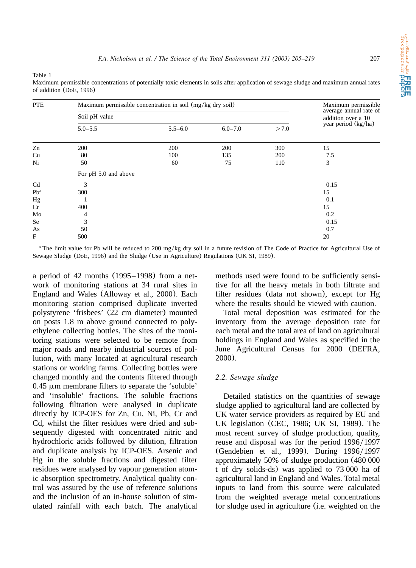<span id="page-2-0"></span>Table 1

| <b>PTE</b>      |                      | Maximum permissible concentration in soil (mg/kg dry soil) |             |      |                     |  |  |  |  |
|-----------------|----------------------|------------------------------------------------------------|-------------|------|---------------------|--|--|--|--|
|                 | Soil pH value        | average annual rate of<br>addition over a 10               |             |      |                     |  |  |  |  |
|                 | $5.0 - 5.5$          | $5.5 - 6.0$                                                | $6.0 - 7.0$ | >7.0 | year period (kg/ha) |  |  |  |  |
| Zn              | 200                  | 200                                                        | 200         | 300  | 15                  |  |  |  |  |
| Cu              | 80                   | 100                                                        | 135         | 200  | 7.5                 |  |  |  |  |
| Ni              | 50                   | 60                                                         | 75          | 110  | 3                   |  |  |  |  |
|                 | For pH 5.0 and above |                                                            |             |      |                     |  |  |  |  |
| Cd              | 3                    |                                                            |             |      | 0.15                |  |  |  |  |
| Pb <sup>a</sup> | 300                  |                                                            |             |      | 15                  |  |  |  |  |
| Hg              |                      |                                                            |             |      | 0.1                 |  |  |  |  |
| Cr              | 400                  |                                                            |             |      | 15                  |  |  |  |  |
| Mo              | 4                    |                                                            |             |      | 0.2                 |  |  |  |  |
| Se              | 3                    |                                                            |             |      | 0.15                |  |  |  |  |
| As              | 50                   |                                                            |             |      | 0.7                 |  |  |  |  |
| $\mathbf F$     | 500                  |                                                            |             |      | 20                  |  |  |  |  |

Maximum permissible concentrations of potentially toxic elements in soils after application of sewage sludge and maximum annual rates of addition ([DoE, 1996](#page-13-0))

<sup>a</sup> The limit value for Pb will be reduced to 200 mg/kg dry soil in a future revision of The Code of Practice for Agricultural Use of Sewage Sludge ([DoE, 1996](#page-13-0)) and the Sludge (Use in Agriculture) Regulations ([UK SI, 1989](#page-14-0)).

a period of 42 months (1995–1998) from a network of monitoring stations at 34 rural sites in England and Wales ([Alloway et al., 2000](#page-13-0)). Each monitoring station comprised duplicate inverted polystyrene 'frisbees' (22 cm diameter) mounted on posts 1.8 m above ground connected to polyethylene collecting bottles. The sites of the monitoring stations were selected to be remote from major roads and nearby industrial sources of pollution, with many located at agricultural research stations or working farms. Collecting bottles were changed monthly and the contents filtered through  $0.45$  um membrane filters to separate the 'soluble' and 'insoluble' fractions. The soluble fractions following filtration were analysed in duplicate directly by ICP-OES for Zn, Cu, Ni, Pb, Cr and Cd, whilst the filter residues were dried and subsequently digested with concentrated nitric and hydrochloric acids followed by dilution, filtration and duplicate analysis by ICP-OES. Arsenic and Hg in the soluble fractions and digested filter residues were analysed by vapour generation atomic absorption spectrometry. Analytical quality control was assured by the use of reference solutions and the inclusion of an in-house solution of simulated rainfall with each batch. The analytical methods used were found to be sufficiently sensitive for all the heavy metals in both filtrate and filter residues (data not shown), except for Hg where the results should be viewed with caution.

Total metal deposition was estimated for the inventory from the average deposition rate for each metal and the total area of land on agricultural holdings in England and Wales as specified in the June Agricultural Census for 2000 ([DEFRA,](#page-13-0) [2000](#page-13-0)).

### *2.2. Sewage sludge*

Detailed statistics on the quantities of sewage sludge applied to agricultural land are collected by UK water service providers as required by EU and UK legislation ([CEC, 1986; UK SI, 1989](#page-13-0)). The most recent survey of sludge production, quality, reuse and disposal was for the period  $1996/1997$ ([Gendebien et al., 1999](#page-13-0)). During 1996/1997 approximately 50% of sludge production (480 000 t of dry solids-ds) was applied to 73 000 ha of agricultural land in England and Wales. Total metal inputs to land from this source were calculated from the weighted average metal concentrations for sludge used in agriculture (i.e. weighted on the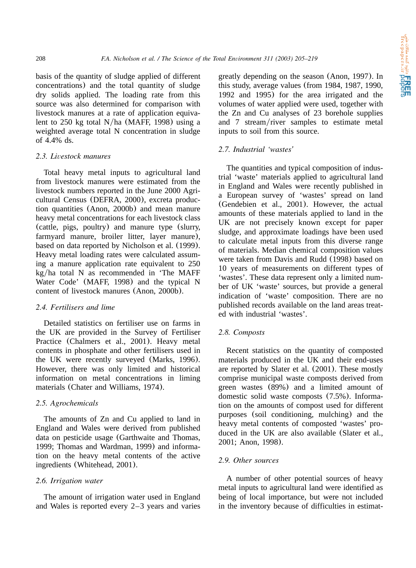basis of the quantity of sludge applied of different concentrations) and the total quantity of sludge dry solids applied. The loading rate from this source was also determined for comparison with livestock manures at a rate of application equivalent to 250 kg total  $N/ha$  ([MAFF, 1998](#page-14-0)) using a weighted average total N concentration in sludge of 4.4% ds.

## *2.3. Livestock manures*

Total heavy metal inputs to agricultural land from livestock manures were estimated from the livestock numbers reported in the June 2000 Agricultural Census ([DEFRA, 2000](#page-13-0)), excreta production quantities ([Anon, 2000b](#page-13-0)) and mean manure heavy metal concentrations for each livestock class (cattle, pigs, poultry) and manure type (slurry, farmyard manure, broiler litter, layer manure), based on data reported by [Nicholson et al.](#page-14-0) (1999). Heavy metal loading rates were calculated assuming a manure application rate equivalent to 250 kg/ha total N as recommended in 'The MAFF Water Code' ([MAFF, 1998](#page-14-0)) and the typical N content of livestock manures ([Anon, 2000b](#page-13-0)).

# *2.4. Fertilisers and lime*

Detailed statistics on fertiliser use on farms in the UK are provided in the Survey of Fertiliser Practice ([Chalmers et al., 2001](#page-13-0)). Heavy metal contents in phosphate and other fertilisers used in the UK were recently surveyed ([Marks, 1996](#page-14-0)). However, there was only limited and historical information on metal concentrations in liming materials ([Chater and Williams, 1974](#page-13-0)).

# *2.5. Agrochemicals*

The amounts of Zn and Cu applied to land in England and Wales were derived from published data on pesticide usage ([Garthwaite and Thomas,](#page-13-0) [1999; Thomas and Wardman, 1999](#page-13-0)) and information on the heavy metal contents of the active ingredients ([Whitehead, 2001](#page-14-0)).

# *2.6. Irrigation water*

The amount of irrigation water used in England and Wales is reported every 2–3 years and varies

greatly depending on the season ([Anon, 1997](#page-13-0)). In this study, average values (from 1984, 1987, 1990, 1992 and 1995) for the area irrigated and the volumes of water applied were used, together with the Zn and Cu analyses of 23 borehole supplies and 7 stream/river samples to estimate metal inputs to soil from this source.

# *2.7. Industrial 'wastes*'

The quantities and typical composition of industrial 'waste' materials applied to agricultural land in England and Wales were recently published in a European survey of 'wastes' spread on land ([Gendebien et al., 2001](#page-13-0)). However, the actual amounts of these materials applied to land in the UK are not precisely known except for paper sludge, and approximate loadings have been used to calculate metal inputs from this diverse range of materials. Median chemical composition values were taken from [Davis and Rudd](#page-13-0) (1998) based on 10 years of measurements on different types of 'wastes'. These data represent only a limited number of UK 'waste' sources, but provide a general indication of 'waste' composition. There are no published records available on the land areas treated with industrial 'wastes'.

# *2.8. Composts*

Recent statistics on the quantity of composted materials produced in the UK and their end-uses are reported by [Slater et al.](#page-14-0) (2001). These mostly comprise municipal waste composts derived from green wastes (89%) and a limited amount of domestic solid waste composts (7.5%). Information on the amounts of compost used for different purposes (soil conditioning, mulching) and the heavy metal contents of composted 'wastes' produced in the UK are also available ([Slater et al.,](#page-14-0) [2001; Anon, 1998](#page-14-0)).

# *2.9. Other sources*

A number of other potential sources of heavy metal inputs to agricultural land were identified as being of local importance, but were not included in the inventory because of difficulties in estimat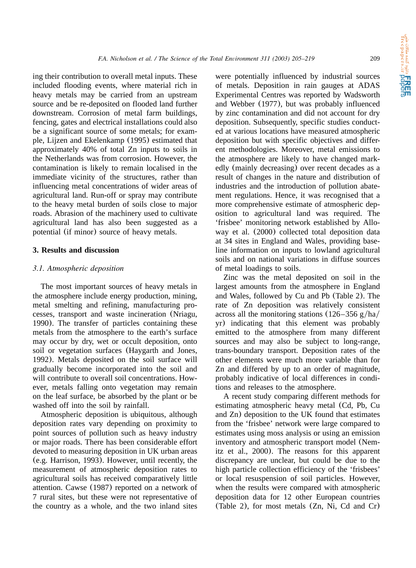ing their contribution to overall metal inputs. These included flooding events, where material rich in heavy metals may be carried from an upstream source and be re-deposited on flooded land further downstream. Corrosion of metal farm buildings, fencing, gates and electrical installations could also be a significant source of some metals; for example, [Lijzen and Ekelenkamp](#page-14-0) (1995) estimated that approximately 40% of total Zn inputs to soils in the Netherlands was from corrosion. However, the contamination is likely to remain localised in the immediate vicinity of the structures, rather than influencing metal concentrations of wider areas of agricultural land. Run-off or spray may contribute to the heavy metal burden of soils close to major roads. Abrasion of the machinery used to cultivate agricultural land has also been suggested as a potential (if minor) source of heavy metals.

#### **3. Results and discussion**

#### *3.1. Atmospheric deposition*

The most important sources of heavy metals in the atmosphere include energy production, mining, metal smelting and refining, manufacturing processes, transport and waste incineration ([Nriagu,](#page-14-0) [1990](#page-14-0)). The transfer of particles containing these metals from the atmosphere to the earth's surface may occur by dry, wet or occult deposition, onto soil or vegetation surfaces ([Haygarth and Jones,](#page-13-0) [1992](#page-13-0)). Metals deposited on the soil surface will gradually become incorporated into the soil and will contribute to overall soil concentrations. However, metals falling onto vegetation may remain on the leaf surface, be absorbed by the plant or be washed off into the soil by rainfall.

Atmospheric deposition is ubiquitous, although deposition rates vary depending on proximity to point sources of pollution such as heavy industry or major roads. There has been considerable effort devoted to measuring deposition in UK urban areas (e.g. [Harrison, 1993](#page-13-0)). However, until recently, the measurement of atmospheric deposition rates to agricultural soils has received comparatively little attention. [Cawse](#page-13-0) (1987) reported on a network of 7 rural sites, but these were not representative of the country as a whole, and the two inland sites

were potentially influenced by industrial sources of metals. Deposition in rain gauges at ADAS Experimental Centres was reported by [Wadsworth](#page-14-0) [and Webber](#page-14-0) (1977), but was probably influenced by zinc contamination and did not account for dry deposition. Subsequently, specific studies conducted at various locations have measured atmospheric deposition but with specific objectives and different methodologies. Moreover, metal emissions to the atmosphere are likely to have changed markedly (mainly decreasing) over recent decades as a result of changes in the nature and distribution of industries and the introduction of pollution abatement regulations. Hence, it was recognised that a more comprehensive estimate of atmospheric deposition to agricultural land was required. The 'frisbee' monitoring network established by [Allo](#page-13-0)[way et al.](#page-13-0) (2000) collected total deposition data at 34 sites in England and Wales, providing baseline information on inputs to lowland agricultural soils and on national variations in diffuse sources of metal loadings to soils.

Zinc was the metal deposited on soil in the largest amounts from the atmosphere in England and Wales, followed by Cu and Pb ([Table 2](#page-5-0)). The rate of Zn deposition was relatively consistent across all the monitoring stations  $(126-356 \text{ g/ha})$ yr) indicating that this element was probably emitted to the atmosphere from many different sources and may also be subject to long-range, trans-boundary transport. Deposition rates of the other elements were much more variable than for Zn and differed by up to an order of magnitude, probably indicative of local differences in conditions and releases to the atmosphere.

A recent study comparing different methods for estimating atmospheric heavy metal (Cd, Pb, Cu and Zn) deposition to the UK found that estimates from the 'frisbee' network were large compared to estimates using moss analysis or using an emission inventory and atmospheric transport model ([Nem](#page-14-0)[itz et al., 2000](#page-14-0)). The reasons for this apparent discrepancy are unclear, but could be due to the high particle collection efficiency of the 'frisbees' or local resuspension of soil particles. However, when the results were compared with atmospheric deposition data for 12 other European countries ([Table 2](#page-5-0)), for most metals (Zn, Ni, Cd and Cr)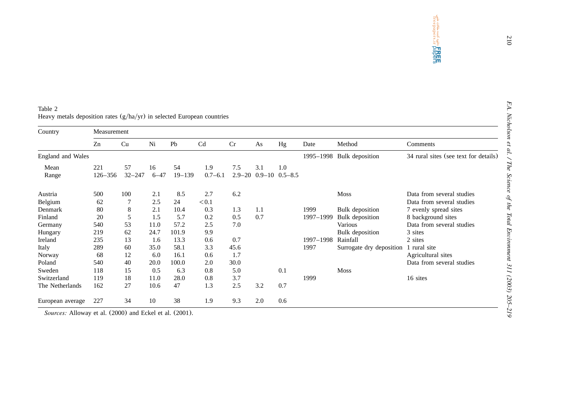**CREE E**<br>Treepapers.ir papers<br>Treepapers.ir papers

|   | 《《大学》卷177》卷1771 《大学》卷1772 《《大学》卷1772 《大学》卷1772 《大学》卷1772 《大学》卷1272 《大学》卷1772 《大学》卷17 |
|---|--------------------------------------------------------------------------------------|
|   |                                                                                      |
| ) |                                                                                      |
|   |                                                                                      |
|   |                                                                                      |
|   |                                                                                      |
|   |                                                                                      |
|   |                                                                                      |
|   |                                                                                      |
|   |                                                                                      |
|   |                                                                                      |
|   |                                                                                      |
|   |                                                                                      |
|   |                                                                                      |
|   |                                                                                      |
|   |                                                                                      |
|   |                                                                                      |
|   |                                                                                      |
|   |                                                                                      |
|   |                                                                                      |
|   |                                                                                      |
|   |                                                                                      |
|   |                                                                                      |
|   |                                                                                      |
|   |                                                                                      |
|   |                                                                                      |
|   |                                                                                      |
|   |                                                                                      |
|   |                                                                                      |
|   |                                                                                      |
|   |                                                                                      |

<span id="page-5-0"></span>

| Country           | Measurement        |                  |                |                  |                    |      |     |                                          |           |                           |                                       |  |
|-------------------|--------------------|------------------|----------------|------------------|--------------------|------|-----|------------------------------------------|-----------|---------------------------|---------------------------------------|--|
|                   | Zn                 | Cu               | Ni             | Pb               | Cd                 | Cr   | As  | Hg                                       | Date      | Method                    | Comments                              |  |
| England and Wales |                    |                  |                |                  |                    |      |     |                                          |           | 1995-1998 Bulk deposition | 34 rural sites (see text for details) |  |
| Mean<br>Range     | 221<br>$126 - 356$ | 57<br>$32 - 247$ | 16<br>$6 - 47$ | 54<br>$19 - 139$ | 1.9<br>$0.7 - 6.1$ | 7.5  | 3.1 | 1.0<br>$2.9 - 20$ $0.9 - 10$ $0.5 - 8.5$ |           |                           |                                       |  |
| Austria           | 500                | 100              | 2.1            | 8.5              | 2.7                | 6.2  |     |                                          |           | <b>Moss</b>               | Data from several studies             |  |
| Belgium           | 62                 |                  | 2.5            | 24               | < 0.1              |      |     |                                          |           |                           | Data from several studies             |  |
| Denmark           | 80                 | 8                | 2.1            | 10.4             | 0.3                | 1.3  | 1.1 |                                          | 1999      | <b>Bulk</b> deposition    | 7 evenly spread sites                 |  |
| Finland           | 20                 | 5                | 1.5            | 5.7              | 0.2                | 0.5  | 0.7 |                                          | 1997-1999 | Bulk deposition           | 8 background sites                    |  |
| Germany           | 540                | 53               | 11.0           | 57.2             | 2.5                | 7.0  |     |                                          |           | Various                   | Data from several studies             |  |
| Hungary           | 219                | 62               | 24.7           | 101.9            | 9.9                |      |     |                                          |           | Bulk deposition           | 3 sites                               |  |
| Ireland           | 235                | 13               | 1.6            | 13.3             | 0.6                | 0.7  |     |                                          | 1997-1998 | Rainfall                  | 2 sites                               |  |
| Italy             | 289                | 60               | 35.0           | 58.1             | 3.3                | 45.6 |     |                                          | 1997      | Surrogate dry deposition  | 1 rural site                          |  |
| Norway            | 68                 | 12               | 6.0            | 16.1             | 0.6                | 1.7  |     |                                          |           |                           | Agricultural sites                    |  |
| Poland            | 540                | 40               | 20.0           | 100.0            | 2.0                | 30.0 |     |                                          |           |                           | Data from several studies             |  |
| Sweden            | 118                | 15               | 0.5            | 6.3              | 0.8                | 5.0  |     | 0.1                                      |           | <b>Moss</b>               |                                       |  |
| Switzerland       | 119                | 18               | 11.0           | 28.0             | 0.8                | 3.7  |     |                                          | 1999      |                           | 16 sites                              |  |
| The Netherlands   | 162                | 27               | 10.6           | 47               | 1.3                | 2.5  | 3.2 | 0.7                                      |           |                           |                                       |  |
| European average  | 227                | 34               | 10             | 38               | 1.9                | 9.3  | 2.0 | 0.6                                      |           |                           |                                       |  |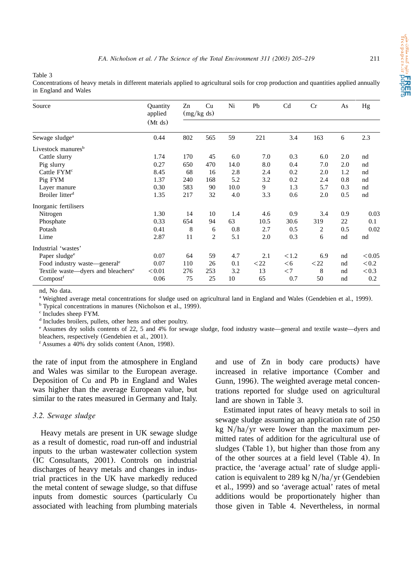<span id="page-6-0"></span>Table 3

Concentrations of heavy metals in different materials applied to agricultural soils for crop production and quantities applied annually in England and Wales

| Source                                         | Quantity<br>applied | Zn  | Cu<br>(mg/kg ds) | Ni   | Pb   | Cd    | Cr     | As  | Hg     |
|------------------------------------------------|---------------------|-----|------------------|------|------|-------|--------|-----|--------|
|                                                | (Mt ds)             |     |                  |      |      |       |        |     |        |
| Sewage sludge <sup>a</sup>                     | 0.44                | 802 | 565              | 59   | 221  | 3.4   | 163    | 6   | 2.3    |
| Livestock manures <sup>b</sup>                 |                     |     |                  |      |      |       |        |     |        |
| Cattle slurry                                  | 1.74                | 170 | 45               | 6.0  | 7.0  | 0.3   | 6.0    | 2.0 | nd     |
| Pig slurry                                     | 0.27                | 650 | 470              | 14.0 | 8.0  | 0.4   | 7.0    | 2.0 | nd     |
| Cattle $FYMc$                                  | 8.45                | 68  | 16               | 2.8  | 2.4  | 0.2   | 2.0    | 1.2 | nd     |
| Pig FYM                                        | 1.37                | 240 | 168              | 5.2  | 3.2  | 0.2   | 2.4    | 0.8 | nd     |
| Layer manure                                   | 0.30                | 583 | 90               | 10.0 | 9    | 1.3   | 5.7    | 0.3 | nd     |
| Broiler litter <sup>d</sup>                    | 1.35                | 217 | 32               | 4.0  | 3.3  | 0.6   | 2.0    | 0.5 | nd     |
| Inorganic fertilisers                          |                     |     |                  |      |      |       |        |     |        |
| Nitrogen                                       | 1.30                | 14  | 10               | 1.4  | 4.6  | 0.9   | 3.4    | 0.9 | 0.03   |
| Phosphate                                      | 0.33                | 654 | 94               | 63   | 10.5 | 30.6  | 319    | 22  | 0.1    |
| Potash                                         | 0.41                | 8   | 6                | 0.8  | 2.7  | 0.5   | 2      | 0.5 | 0.02   |
| Lime                                           | 2.87                | 11  | 2                | 5.1  | 2.0  | 0.3   | 6      | nd  | nd     |
| Industrial 'wastes'                            |                     |     |                  |      |      |       |        |     |        |
| Paper sludge <sup>e</sup>                      | 0.07                | 64  | 59               | 4.7  | 2.1  | < 1.2 | 6.9    | nd  | < 0.05 |
| Food industry waste—general <sup>e</sup>       | 0.07                | 110 | 26               | 0.1  | < 22 | < 6   | $<$ 22 | nd  | < 0.2  |
| Textile waste—dyers and bleachers <sup>e</sup> | < 0.01              | 276 | 253              | 3.2  | 13   | < 7   | 8      | nd  | < 0.3  |
| Compost <sup>f</sup>                           | 0.06                | 75  | 25               | 10   | 65   | 0.7   | 50     | nd  | 0.2    |

nd, No data.

<sup>a</sup> Weighted average metal concentrations for sludge used on agricultural land in England and Wales ([Gendebien et al., 1999](#page-13-0)).

<sup>b</sup> Typical concentrations in manures ([Nicholson et al., 1999](#page-14-0)).

<sup>c</sup> Includes sheep FYM.

<sup>d</sup> Includes broilers, pullets, other hens and other poultry.

Assumes dry solids contents of 22, 5 and 4% for sewage sludge, food industry waste—general and textile waste—dyers and <sup>e</sup> bleachers, respectively ([Gendebien et al., 2001](#page-13-0)).

 $f$  Assumes a 40% dry solids content ([Anon, 1998](#page-13-0)).

the rate of input from the atmosphere in England and Wales was similar to the European average. Deposition of Cu and Pb in England and Wales was higher than the average European value, but similar to the rates measured in Germany and Italy.

#### *3.2. Sewage sludge*

Heavy metals are present in UK sewage sludge as a result of domestic, road run-off and industrial inputs to the urban wastewater collection system ([IC Consultants, 2001](#page-13-0)). Controls on industrial discharges of heavy metals and changes in industrial practices in the UK have markedly reduced the metal content of sewage sludge, so that diffuse inputs from domestic sources (particularly Cu associated with leaching from plumbing materials and use of Zn in body care products) have increased in relative importance ([Comber and](#page-13-0) [Gunn, 1996](#page-13-0)). The weighted average metal concentrations reported for sludge used on agricultural land are shown in Table 3.

Estimated input rates of heavy metals to soil in sewage sludge assuming an application rate of 250  $kg$  N/ha/vr were lower than the maximum permitted rates of addition for the agricultural use of sludges ([Table 1](#page-2-0)), but higher than those from any of the other sources at a field level ([Table 4](#page-7-0)). In practice, the 'average actual' rate of sludge application is equivalent to 289 kg  $N/ha/yr$  ([Gendebien](#page-13-0) [et al., 1999](#page-13-0)) and so 'average actual' rates of metal additions would be proportionately higher than those given in [Table 4.](#page-7-0) Nevertheless, in normal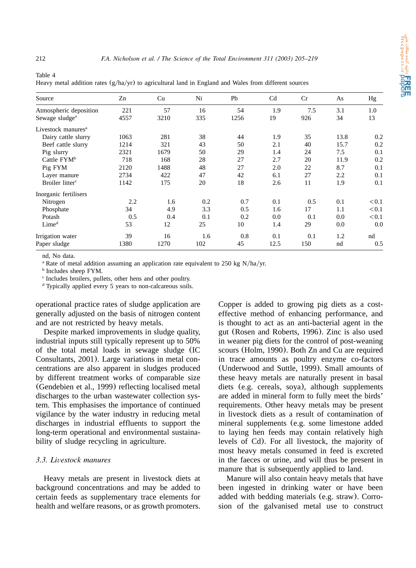| Source                         | Zn   | Cu   | Ni  | Pb   | Cd   | Cr  | As   | Hg    |
|--------------------------------|------|------|-----|------|------|-----|------|-------|
| Atmospheric deposition         | 221  | 57   | 16  | 54   | 1.9  | 7.5 | 3.1  | 1.0   |
| Sewage sludge <sup>a</sup>     | 4557 | 3210 | 335 | 1256 | 19   | 926 | 34   | 13    |
| Livestock manures <sup>a</sup> |      |      |     |      |      |     |      |       |
| Dairy cattle slurry            | 1063 | 281  | 38  | 44   | 1.9  | 35  | 13.8 | 0.2   |
| Beef cattle slurry             | 1214 | 321  | 43  | 50   | 2.1  | 40  | 15.7 | 0.2   |
| Pig slurry                     | 2321 | 1679 | 50  | 29   | 1.4  | 24  | 7.5  | 0.1   |
| Cattle FYM <sup>b</sup>        | 718  | 168  | 28  | 27   | 2.7  | 20  | 11.9 | 0.2   |
| Pig FYM                        | 2120 | 1488 | 48  | 27   | 2.0  | 22  | 8.7  | 0.1   |
| Layer manure                   | 2734 | 422  | 47  | 42   | 6.1  | 27  | 2.2  | 0.1   |
| Broiler litter <sup>c</sup>    | 1142 | 175  | 20  | 18   | 2.6  | 11  | 1.9  | 0.1   |
| Inorganic fertilisers          |      |      |     |      |      |     |      |       |
| Nitrogen                       | 2.2  | 1.6  | 0.2 | 0.7  | 0.1  | 0.5 | 0.1  | < 0.1 |
| Phosphate                      | 34   | 4.9  | 3.3 | 0.5  | 1.6  | 17  | 1.1  | < 0.1 |
| Potash                         | 0.5  | 0.4  | 0.1 | 0.2  | 0.0  | 0.1 | 0.0  | < 0.1 |
| Lime <sup>d</sup>              | 53   | 12   | 25  | 10   | 1.4  | 29  | 0.0  | 0.0   |
| Irrigation water               | 39   | 16   | 1.6 | 0.8  | 0.1  | 0.1 | 1.2  | nd    |
| Paper sludge                   | 1380 | 1270 | 102 | 45   | 12.5 | 150 | nd   | 0.5   |
|                                |      |      |     |      |      |     |      |       |

<span id="page-7-0"></span>Table 4 Heavy metal addition rates  $(g/ha/yr)$  to agricultural land in England and Wales from different sources

nd, No data.

<sup>a</sup> Rate of metal addition assuming an application rate equivalent to 250 kg N/ha/yr.

<sup>b</sup> Includes sheep FYM.

<sup>c</sup> Includes broilers, pullets, other hens and other poultry.

 $d$  Typically applied every 5 years to non-calcareous soils.

operational practice rates of sludge application are generally adjusted on the basis of nitrogen content and are not restricted by heavy metals.

Despite marked improvements in sludge quality, industrial inputs still typically represent up to 50% of the total metal loads in sewage sludge ([IC](#page-13-0) [Consultants, 2001](#page-13-0)). Large variations in metal concentrations are also apparent in sludges produced by different treatment works of comparable size ([Gendebien et al., 1999](#page-13-0)) reflecting localised metal discharges to the urban wastewater collection system. This emphasises the importance of continued vigilance by the water industry in reducing metal discharges in industrial effluents to support the long-term operational and environmental sustainability of sludge recycling in agriculture.

### *3.3. Livestock manures*

Heavy metals are present in livestock diets at background concentrations and may be added to certain feeds as supplementary trace elements for health and welfare reasons, or as growth promoters.

Copper is added to growing pig diets as a costeffective method of enhancing performance, and is thought to act as an anti-bacterial agent in the gut ([Rosen and Roberts, 1996](#page-14-0)). Zinc is also used in weaner pig diets for the control of post-weaning scours ([Holm, 1990](#page-13-0)). Both Zn and Cu are required in trace amounts as poultry enzyme co-factors ([Underwood and Suttle, 1999](#page-14-0)). Small amounts of these heavy metals are naturally present in basal diets (e.g. cereals, soya), although supplements are added in mineral form to fully meet the birds' requirements. Other heavy metals may be present in livestock diets as a result of contamination of mineral supplements (e.g. some limestone added to laying hen feeds may contain relatively high levels of Cd). For all livestock, the majority of most heavy metals consumed in feed is excreted in the faeces or urine, and will thus be present in manure that is subsequently applied to land.

Manure will also contain heavy metals that have been ingested in drinking water or have been added with bedding materials (e.g. straw). Corrosion of the galvanised metal use to construct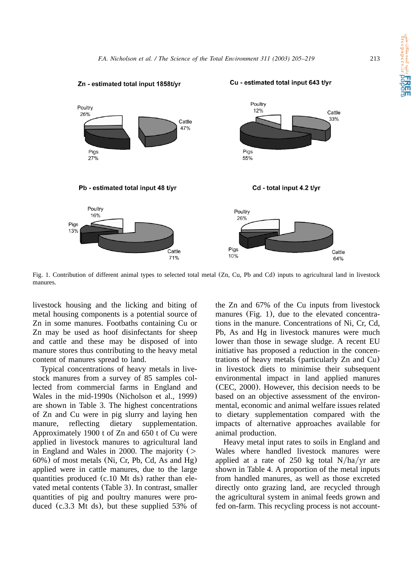



Fig. 1. Contribution of different animal types to selected total metal (Zn, Cu, Pb and Cd) inputs to agricultural land in livestock manures.

livestock housing and the licking and biting of metal housing components is a potential source of Zn in some manures. Footbaths containing Cu or Zn may be used as hoof disinfectants for sheep and cattle and these may be disposed of into manure stores thus contributing to the heavy metal content of manures spread to land.

Typical concentrations of heavy metals in livestock manures from a survey of 85 samples collected from commercial farms in England and Wales in the mid-1990s ([Nicholson et al., 1999](#page-14-0)) are shown in [Table 3.](#page-6-0) The highest concentrations of Zn and Cu were in pig slurry and laying hen manure, reflecting dietary supplementation. Approximately 1900 t of Zn and 650 t of Cu were applied in livestock manures to agricultural land in England and Wales in 2000. The majority  $($ 60%) of most metals (Ni, Cr, Pb, Cd, As and Hg) applied were in cattle manures, due to the large quantities produced (c.10 Mt ds) rather than elevated metal contents ([Table 3](#page-6-0)). In contrast, smaller quantities of pig and poultry manures were produced (c.3.3 Mt ds), but these supplied 53% of the Zn and 67% of the Cu inputs from livestock manures (Fig. 1), due to the elevated concentrations in the manure. Concentrations of Ni, Cr, Cd, Pb, As and Hg in livestock manures were much lower than those in sewage sludge. A recent EU initiative has proposed a reduction in the concentrations of heavy metals (particularly Zn and Cu) in livestock diets to minimise their subsequent environmental impact in land applied manures ([CEC, 2000](#page-13-0)). However, this decision needs to be based on an objective assessment of the environmental, economic and animal welfare issues related to dietary supplementation compared with the impacts of alternative approaches available for animal production.

Heavy metal input rates to soils in England and Wales where handled livestock manures were applied at a rate of 250 kg total  $N/ha/yr$  are shown in [Table 4.](#page-7-0) A proportion of the metal inputs from handled manures, as well as those excreted directly onto grazing land, are recycled through the agricultural system in animal feeds grown and fed on-farm. This recycling process is not account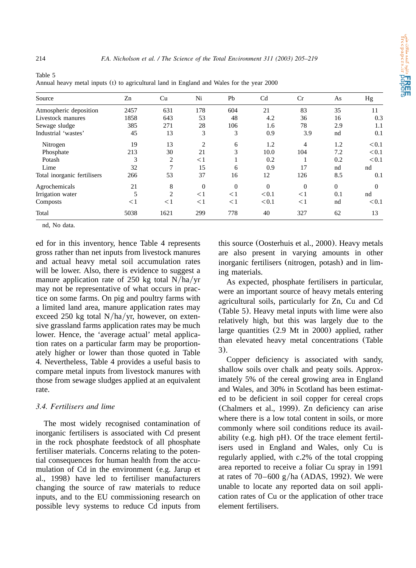<span id="page-9-0"></span>Table 5

| Source                      | Zn       | Cu             | Ni             | Pb       | C <sub>d</sub> | Cr           | As       | Hg       |
|-----------------------------|----------|----------------|----------------|----------|----------------|--------------|----------|----------|
| Atmospheric deposition      | 2457     | 631            | 178            | 604      | 21             | 83           | 35       | 11       |
| Livestock manures           | 1858     | 643            | 53             | 48       | 4.2            | 36           | 16       | 0.3      |
| Sewage sludge               | 385      | 271            | 28             | 106      | 1.6            | 78           | 2.9      | 1.1      |
| Industrial 'wastes'         | 45       | 13             | 3              | 3        | 0.9            | 3.9          | nd       | 0.1      |
| Nitrogen                    | 19       | 13             | $\overline{2}$ | 6        | 1.2            | 4            | 1.2      | < 0.1    |
| Phosphate                   | 213      | 30             | 21             | 3        | 10.0           | 104          | 7.2      | < 0.1    |
| Potash                      | 3        | $\overline{c}$ | $\leq$ 1       |          | 0.2            |              | 0.2      | < 0.1    |
| Lime                        | 32       | $\mathcal{I}$  | 15             | 6        | 0.9            | 17           | nd       | nd       |
| Total inorganic fertilisers | 266      | 53             | 37             | 16       | 12             | 126          | 8.5      | 0.1      |
| Agrochemicals               | 21       | 8              | $\theta$       | $\Omega$ | $\Omega$       | $\mathbf{0}$ | $\Omega$ | $\Omega$ |
| Irrigation water            |          | $\overline{c}$ | $\leq$ 1       | $<$ 1    | < 0.1          | $<$ 1        | 0.1      | nd       |
| Composts                    | $\leq$ 1 | $\leq$ 1       | $\leq 1$       | $\leq$ 1 | < 0.1          | $\leq$ 1     | nd       | < 0.1    |
| Total                       | 5038     | 1621           | 299            | 778      | 40             | 327          | 62       | 13       |

Annual heavy metal inputs (t) to agricultural land in England and Wales for the year 2000

nd, No data.

ed for in this inventory, hence [Table 4](#page-7-0) represents gross rather than net inputs from livestock manures and actual heavy metal soil accumulation rates will be lower. Also, there is evidence to suggest a manure application rate of 250 kg total  $N/ha/yr$ may not be representative of what occurs in practice on some farms. On pig and poultry farms with a limited land area, manure application rates may exceed 250 kg total  $N/ha/yr$ , however, on extensive grassland farms application rates may be much lower. Hence, the 'average actual' metal application rates on a particular farm may be proportionately higher or lower than those quoted in [Table](#page-7-0) [4.](#page-7-0) Nevertheless, [Table 4](#page-7-0) provides a useful basis to compare metal inputs from livestock manures with those from sewage sludges applied at an equivalent rate.

## *3.4. Fertilisers and lime*

The most widely recognised contamination of inorganic fertilisers is associated with Cd present in the rock phosphate feedstock of all phosphate fertiliser materials. Concerns relating to the potential consequences for human health from the accumulation of Cd in the environment (e.g. [Jarup et](#page-13-0) [al., 1998](#page-13-0)) have led to fertiliser manufacturers changing the source of raw materials to reduce inputs, and to the EU commissioning research on possible levy systems to reduce Cd inputs from

this source ([Oosterhuis et al., 2000](#page-14-0)). Heavy metals are also present in varying amounts in other inorganic fertilisers (nitrogen, potash) and in liming materials.

As expected, phosphate fertilisers in particular, were an important source of heavy metals entering agricultural soils, particularly for Zn, Cu and Cd (Table 5). Heavy metal inputs with lime were also relatively high, but this was largely due to the large quantities (2.9 Mt in 2000) applied, rather than elevated heavy metal concentrations ([Table](#page-6-0) [3](#page-6-0)).

Copper deficiency is associated with sandy, shallow soils over chalk and peaty soils. Approximately 5% of the cereal growing area in England and Wales, and 30% in Scotland has been estimated to be deficient in soil copper for cereal crops ([Chalmers et al., 1999](#page-13-0)). Zn deficiency can arise where there is a low total content in soils, or more commonly where soil conditions reduce its availability (e.g. high pH). Of the trace element fertilisers used in England and Wales, only Cu is regularly applied, with c.2% of the total cropping area reported to receive a foliar Cu spray in 1991 at rates of  $70-600$  g/ha ([ADAS, 1992](#page-13-0)). We were unable to locate any reported data on soil application rates of Cu or the application of other trace element fertilisers.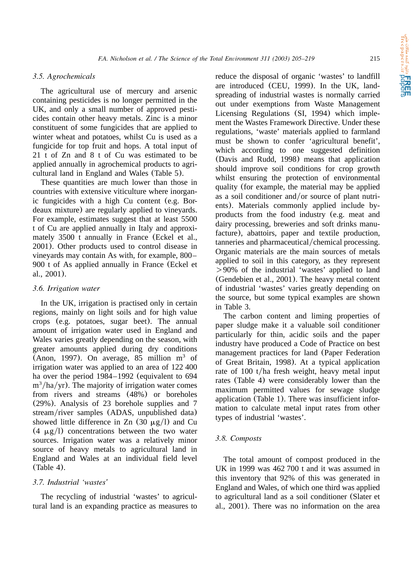#### *3.5. Agrochemicals*

The agricultural use of mercury and arsenic containing pesticides is no longer permitted in the UK, and only a small number of approved pesticides contain other heavy metals. Zinc is a minor constituent of some fungicides that are applied to winter wheat and potatoes, whilst Cu is used as a fungicide for top fruit and hops. A total input of 21 t of Zn and 8 t of Cu was estimated to be applied annually in agrochemical products to agricultural land in England and Wales ([Table 5](#page-9-0)).

These quantities are much lower than those in countries with extensive viticulture where inorganic fungicides with a high Cu content (e.g. Bordeaux mixture) are regularly applied to vineyards. For example, estimates suggest that at least 5500 t of Cu are applied annually in Italy and approximately 3500 t annually in France ([Eckel et al.,](#page-13-0) [2001](#page-13-0)). Other products used to control disease in vineyards may contain As with, for example, 800– 900 t of As applied annually in France ([Eckel et](#page-13-0) [al., 2001](#page-13-0)).

### *3.6. Irrigation water*

In the UK, irrigation is practised only in certain regions, mainly on light soils and for high value crops (e.g. potatoes, sugar beet). The annual amount of irrigation water used in England and Wales varies greatly depending on the season, with greater amounts applied during dry conditions ([Anon, 1997](#page-13-0)). On average, 85 million  $m<sup>3</sup>$  of irrigation water was applied to an area of 122 400 ha over the period 1984–1992 (equivalent to 694  $m^3/ha/yr$ ). The majority of irrigation water comes from rivers and streams (48%) or boreholes (29%). Analysis of 23 borehole supplies and 7 stream/river samples (ADAS, unpublished data) showed little difference in Zn  $(30 \mu g/l)$  and Cu  $(4 \mu g/l)$  concentrations between the two water sources. Irrigation water was a relatively minor source of heavy metals to agricultural land in England and Wales at an individual field level ([Table 4](#page-7-0)).

### *3.7. Industrial 'wastes*'

The recycling of industrial 'wastes' to agricultural land is an expanding practice as measures to reduce the disposal of organic 'wastes' to landfill are introduced ([CEU, 1999](#page-13-0)). In the UK, landspreading of industrial wastes is normally carried out under exemptions from Waste Management Licensing Regulations ([SI, 1994](#page-14-0)) which implement the Wastes Framework Directive. Under these regulations, 'waste' materials applied to farmland must be shown to confer 'agricultural benefit', which according to one suggested definition ([Davis and Rudd, 1998](#page-13-0)) means that application should improve soil conditions for crop growth whilst ensuring the protection of environmental quality (for example, the material may be applied as a soil conditioner and/or source of plant nutrients). Materials commonly applied include byproducts from the food industry (e.g. meat and dairy processing, breweries and soft drinks manufacture), abattoirs, paper and textile production, tanneries and pharmaceutical/chemical processing. Organic materials are the main sources of metals applied to soil in this category, as they represent )90% of the industrial 'wastes' applied to land ([Gendebien et al., 2001](#page-13-0)). The heavy metal content of industrial 'wastes' varies greatly depending on the source, but some typical examples are shown in [Table 3.](#page-6-0)

The carbon content and liming properties of paper sludge make it a valuable soil conditioner particularly for thin, acidic soils and the paper industry have produced a Code of Practice on best management practices for land ([Paper Federation](#page-14-0) [of Great Britain, 1998](#page-14-0)). At a typical application rate of  $100$  t/ha fresh weight, heavy metal input rates ([Table 4](#page-7-0)) were considerably lower than the maximum permitted values for sewage sludge application ([Table 1](#page-2-0)). There was insufficient information to calculate metal input rates from other types of industrial 'wastes'.

#### *3.8. Composts*

The total amount of compost produced in the UK in 1999 was 462 700 t and it was assumed in this inventory that 92% of this was generated in England and Wales, of which one third was applied to agricultural land as a soil conditioner ([Slater et](#page-14-0) [al., 2001](#page-14-0)). There was no information on the area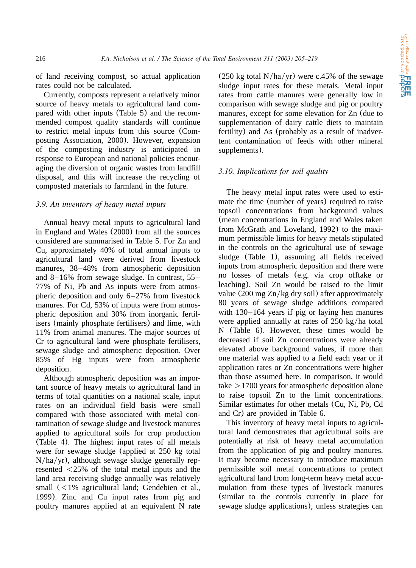of land receiving compost, so actual application rates could not be calculated.

Currently, composts represent a relatively minor source of heavy metals to agricultural land compared with other inputs ([Table 5](#page-9-0)) and the recommended compost quality standards will continue to restrict metal inputs from this source ([Com](#page-13-0)[posting Association, 2000](#page-13-0)). However, expansion of the composting industry is anticipated in response to European and national policies encouraging the diversion of organic wastes from landfill disposal, and this will increase the recycling of composted materials to farmland in the future.

# *3.9. An inventory of heavy metal inputs*

Annual heavy metal inputs to agricultural land in England and Wales (2000) from all the sources considered are summarised in [Table 5.](#page-9-0) For Zn and Cu, approximately 40% of total annual inputs to agricultural land were derived from livestock manures, 38–48% from atmospheric deposition and 8–16% from sewage sludge. In contrast, 55– 77% of Ni, Pb and As inputs were from atmospheric deposition and only 6–27% from livestock manures. For Cd, 53% of inputs were from atmospheric deposition and 30% from inorganic fertilisers (mainly phosphate fertilisers) and lime, with 11% from animal manures. The major sources of Cr to agricultural land were phosphate fertilisers, sewage sludge and atmospheric deposition. Over 85% of Hg inputs were from atmospheric deposition.

Although atmospheric deposition was an important source of heavy metals to agricultural land in terms of total quantities on a national scale, input rates on an individual field basis were small compared with those associated with metal contamination of sewage sludge and livestock manures applied to agricultural soils for crop production ([Table 4](#page-7-0)). The highest input rates of all metals were for sewage sludge (applied at 250 kg total  $N/ha/yr$ , although sewage sludge generally represented  $\langle 25\% \rangle$  of the total metal inputs and the land area receiving sludge annually was relatively small  $(< 1\%$  agricultural land; [Gendebien et al.,](#page-13-0) [1999](#page-13-0)). Zinc and Cu input rates from pig and poultry manures applied at an equivalent N rate

 $(250 \text{ kg total N/ha/yr})$  were c.45% of the sewage sludge input rates for these metals. Metal input rates from cattle manures were generally low in comparison with sewage sludge and pig or poultry manures, except for some elevation for Zn (due to supplementation of dairy cattle diets to maintain fertility) and As (probably as a result of inadvertent contamination of feeds with other mineral supplements).

# *3.10. Implications for soil quality*

The heavy metal input rates were used to estimate the time (number of years) required to raise topsoil concentrations from background values (mean concentrations in England and Wales taken from [McGrath and Loveland, 1992](#page-14-0)) to the maximum permissible limits for heavy metals stipulated in the controls on the agricultural use of sewage sludge ([Table 1](#page-2-0)), assuming all fields received inputs from atmospheric deposition and there were no losses of metals (e.g. via crop offtake or leaching). Soil Zn would be raised to the limit value (200 mg  $Zn/kg$  dry soil) after approximately 80 years of sewage sludge additions compared with 130–164 years if pig or laying hen manures were applied annually at rates of  $250 \text{ kg/ha}$  total N ([Table 6](#page-12-0)). However, these times would be decreased if soil Zn concentrations were already elevated above background values, if more than one material was applied to a field each year or if application rates or Zn concentrations were higher than those assumed here. In comparison, it would take  $>1700$  years for atmospheric deposition alone to raise topsoil Zn to the limit concentrations. Similar estimates for other metals (Cu, Ni, Pb, Cd and Cr) are provided in [Table 6.](#page-12-0)

This inventory of heavy metal inputs to agricultural land demonstrates that agricultural soils are potentially at risk of heavy metal accumulation from the application of pig and poultry manures. It may become necessary to introduce maximum permissible soil metal concentrations to protect agricultural land from long-term heavy metal accumulation from these types of livestock manures (similar to the controls currently in place for sewage sludge applications), unless strategies can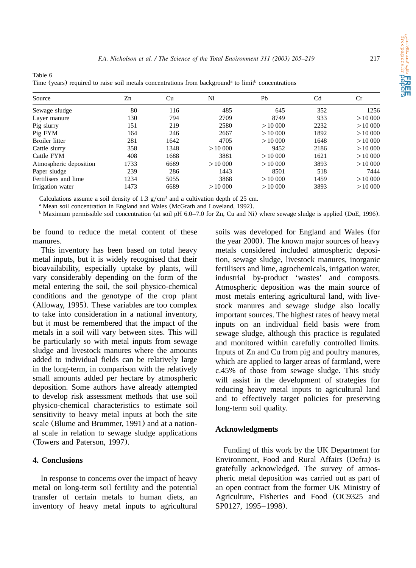| THING (years) required to raise son includes concentrations from background to minit concentrations |      |      |        |        |                |           |  |  |  |
|-----------------------------------------------------------------------------------------------------|------|------|--------|--------|----------------|-----------|--|--|--|
| Source                                                                                              | Zn   | Cu   | Ni     | Pb     | C <sub>d</sub> | <b>Cr</b> |  |  |  |
| Sewage sludge                                                                                       | 80   | 116  | 485    | 645    | 352            | 1256      |  |  |  |
| Layer manure                                                                                        | 130  | 794  | 2709   | 8749   | 933            | >10000    |  |  |  |
| Pig slurry                                                                                          | 151  | 219  | 2580   | >10000 | 2232           | >10000    |  |  |  |
| Pig FYM                                                                                             | 164  | 246  | 2667   | >10000 | 1892           | >10000    |  |  |  |
| <b>Broiler</b> litter                                                                               | 281  | 1642 | 4705   | >10000 | 1648           | >10000    |  |  |  |
| Cattle slurry                                                                                       | 358  | 1348 | >10000 | 9452   | 2186           | >10000    |  |  |  |
| Cattle FYM                                                                                          | 408  | 1688 | 3881   | >10000 | 1621           | >10000    |  |  |  |
| Atmospheric deposition                                                                              | 1733 | 6689 | >10000 | >10000 | 3893           | >10000    |  |  |  |
| Paper sludge                                                                                        | 239  | 286  | 1443   | 8501   | 518            | 7444      |  |  |  |
| Fertilisers and lime                                                                                | 1234 | 5055 | 3868   | >10000 | 1459           | >10000    |  |  |  |
| Irrigation water                                                                                    | 1473 | 6689 | >10000 | >10000 | 3893           | >10000    |  |  |  |

Time (years) required to raise soil metals concentrations from background<sup>a</sup> to limit<sup>b</sup> concentrations

Calculations assume a soil density of 1.3  $g/cm<sup>3</sup>$  and a cultivation depth of 25 cm.

<sup>a</sup> Mean soil concentration in England and Wales ([McGrath and Loveland, 1992](#page-14-0)).

<sup>b</sup> Maximum permissible soil concentration (at soil pH 6.0–7.0 for Zn, Cu and Ni) where sewage sludge is applied ([DoE, 1996](#page-13-0)).

be found to reduce the metal content of these manures.

This inventory has been based on total heavy metal inputs, but it is widely recognised that their bioavailability, especially uptake by plants, will vary considerably depending on the form of the metal entering the soil, the soil physico-chemical conditions and the genotype of the crop plant ([Alloway, 1995](#page-13-0)). These variables are too complex to take into consideration in a national inventory, but it must be remembered that the impact of the metals in a soil will vary between sites. This will be particularly so with metal inputs from sewage sludge and livestock manures where the amounts added to individual fields can be relatively large in the long-term, in comparison with the relatively small amounts added per hectare by atmospheric deposition. Some authors have already attempted to develop risk assessment methods that use soil physico-chemical characteristics to estimate soil sensitivity to heavy metal inputs at both the site scale ([Blume and Brummer, 1991](#page-13-0)) and at a national scale in relation to sewage sludge applications ([Towers and Paterson, 1997](#page-14-0)).

## **4. Conclusions**

<span id="page-12-0"></span>Table 6

In response to concerns over the impact of heavy metal on long-term soil fertility and the potential transfer of certain metals to human diets, an inventory of heavy metal inputs to agricultural soils was developed for England and Wales (for the year 2000). The known major sources of heavy metals considered included atmospheric deposition, sewage sludge, livestock manures, inorganic fertilisers and lime, agrochemicals, irrigation water, industrial by-product 'wastes' and composts. Atmospheric deposition was the main source of most metals entering agricultural land, with livestock manures and sewage sludge also locally important sources. The highest rates of heavy metal inputs on an individual field basis were from sewage sludge, although this practice is regulated and monitored within carefully controlled limits. Inputs of Zn and Cu from pig and poultry manures, which are applied to larger areas of farmland, were c.45% of those from sewage sludge. This study will assist in the development of strategies for reducing heavy metal inputs to agricultural land and to effectively target policies for preserving long-term soil quality.

#### **Acknowledgments**

Funding of this work by the UK Department for Environment, Food and Rural Affairs (Defra) is gratefully acknowledged. The survey of atmospheric metal deposition was carried out as part of an open contract from the former UK Ministry of Agriculture, Fisheries and Food (OC9325 and SP0127, 1995–1998).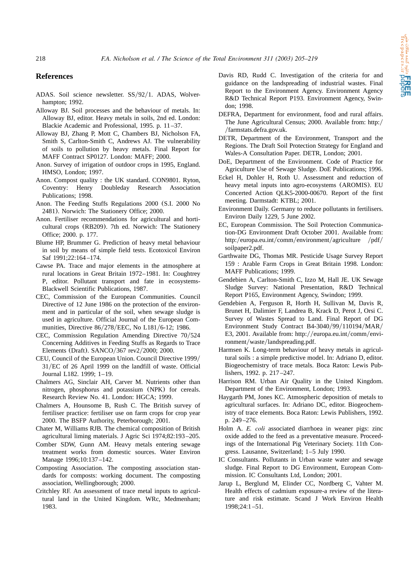#### <span id="page-13-0"></span>**References**

- ADAS. Soil science newsletter. SS/92/1. ADAS, Wolverhampton; 1992.
- Alloway BJ. Soil processes and the behaviour of metals. In: Alloway BJ, editor. Heavy metals in soils, 2nd ed. London: Blackie Academic and Professional, 1995. p. 11 –37.
- Alloway BJ, Zhang P, Mott C, Chambers BJ, Nicholson FA, Smith S, Carlton-Smith C, Andrews AJ. The vulnerability of soils to pollution by heavy metals. Final Report for MAFF Contract SP0127. London: MAFF; 2000.
- Anon. Survey of irrigation of outdoor crops in 1995, England. HMSO, London; 1997.
- Anon. Compost quality : the UK standard. CON9801. Ryton, Coventry: Henry Doubleday Research Association Publications; 1998.
- Anon. The Feeding Stuffs Regulations 2000 (S.I. 2000 No 2481). Norwich: The Stationery Office; 2000.
- Anon. Fertiliser recommendations for agricultural and horticultural crops (RB209). 7th ed. Norwich: The Stationery Office; 2000. p. 177.
- Blume HP, Brummer G. Prediction of heavy metal behaviour in soil by means of simple field tests. Ecotoxicol Environ Saf 1991;22:164 –174.
- Cawse PA. Trace and major elements in the atmosphere at rural locations in Great Britain 1972–1981. In: Coughtrey P, editor. Pollutant transport and fate in ecosystems-Blackwell Scientific Publications, 1987.
- CEC, Commission of the European Communities. Council Directive of 12 June 1986 on the protection of the environment and in particular of the soil, when sewage sludge is used in agriculture. Official Journal of the European Communities, Directive 86/278/EEC, No L181/6-12; 1986.
- CEC, Commission Regulation Amending Directive 70/524 Concerning Additives in Feeding Stuffs as Regards to Trace Elements (Draft). SANCO/367 rev2/2000; 2000.
- CEU, Council of the European Union. Council Directive 1999/ 31yEC of 26 April 1999 on the landfill of waste. Official Journal L182. 1999; 1–19.
- Chalmers AG, Sinclair AH, Carver M. Nutrients other than nitrogen, phosphorus and potassium (NPK) for cereals. Research Review No. 41. London: HGCA; 1999.
- Chalmers A, Hounsome B, Rush C. The British survey of fertiliser practice: fertiliser use on farm crops for crop year 2000. The BSFP Authority, Peterborough; 2001.
- Chater M, Williams RJB. The chemical composition of British agricultural liming materials. J Agric Sci 1974;82:193 –205.
- Comber SDW, Gunn AM. Heavy metals entering sewage treatment works from domestic sources. Water Environ Manage 1996;10:137 –142.
- Composting Association. The composting association standards for composts: working document. The composting association, Wellingborough; 2000.
- Critchley RF. An assessment of trace metal inputs to agricultural land in the United Kingdom. WRc, Medmenham; 1983.
- Davis RD, Rudd C. Investigation of the criteria for and guidance on the landspreading of industrial wastes. Final Report to the Environment Agency. Environment Agency R&D Technical Report P193. Environment Agency, Swindon; 1998.
- DEFRA, Department for environment, food and rural affairs. The June Agricultural Census; 2000. Available from: http:/ yfarmstats.defra.gov.uk.
- DETR, Department of the Environment, Transport and the Regions. The Draft Soil Protection Strategy for England and Wales-A Consultation Paper. DETR, London; 2001.
- DoE, Department of the Environment. Code of Practice for Agriculture Use of Sewage Sludge. DoE Publications; 1996.
- Eckel H, Dohler H, Roth U. Assessment and reduction of heavy metal inputs into agro-ecosystems (AROMIS). EU Concerted Action QLK5-2000-00670. Report of the first meeting. Darmstadt: KTBL; 2001.
- Environment Daily. Germany to reduce pollutants in fertilisers. Environ Daily 1229, 5 June 2002.
- EC, European Commission. The Soil Protection Communication-DG Environment Draft October 2001. Available from: http:/europa.eu.int/comm/environment/agriculture /pdf/ soilpaper2.pdf.
- Garthwaite DG, Thomas MR. Pesticide Usage Survey Report 159 : Arable Farm Crops in Great Britain 1998. London: MAFF Publications; 1999.
- Gendebien A, Carlton-Smith C, Izzo M, Hall JE. UK Sewage Sludge Survey: National Presentation, R&D Technical Report P165, Environment Agency, Swindon; 1999.
- Gendebien A, Ferguson R, Horth H, Sullivan M, Davis R, Brunet H, Dalimier F, Landrea B, Krack D, Perot J, Orsi C. Survey of Wastes Spread to Land. Final Report of DG Environment Study Contract B4-3040/99/110194/MAR/ E3, 2001. Available from: http://europa.eu.int/comm/environment/waste/landspreading.pdf.
- Harmsen K. Long-term behaviour of heavy metals in agricultural soils : a simple predictive model. In: Adriano D, editor. Biogeochemistry of trace metals. Boca Raton: Lewis Publishers, 1992. p. 217 –247.
- Harrison RM. Urban Air Quality in the United Kingdom. Department of the Environment, London; 1993.
- Haygarth PM, Jones KC. Atmospheric deposition of metals to agricultural surfaces. In: Adriano DC, editor. Biogeochemistry of trace elements. Boca Raton: Lewis Publishers, 1992. p. 249 –276.
- Holm A. *E. coli* associated diarrhoea in weaner pigs: zinc oxide added to the feed as a preventative measure. Proceedings of the International Pig Veterinary Society. 11th Congress. Lausanne, Switzerland; 1–5 July 1990.
- IC Consultants. Pollutants in Urban waste water and sewage sludge. Final Report to DG Environment, European Commission. IC Consultants Ltd, London; 2001.
- Jarup L, Berglund M, Elinder CC, Nordberg C, Vahter M. Health effects of cadmium exposure-a review of the literature and risk estimate. Scand J Work Environ Health 1998;24:1 –51.